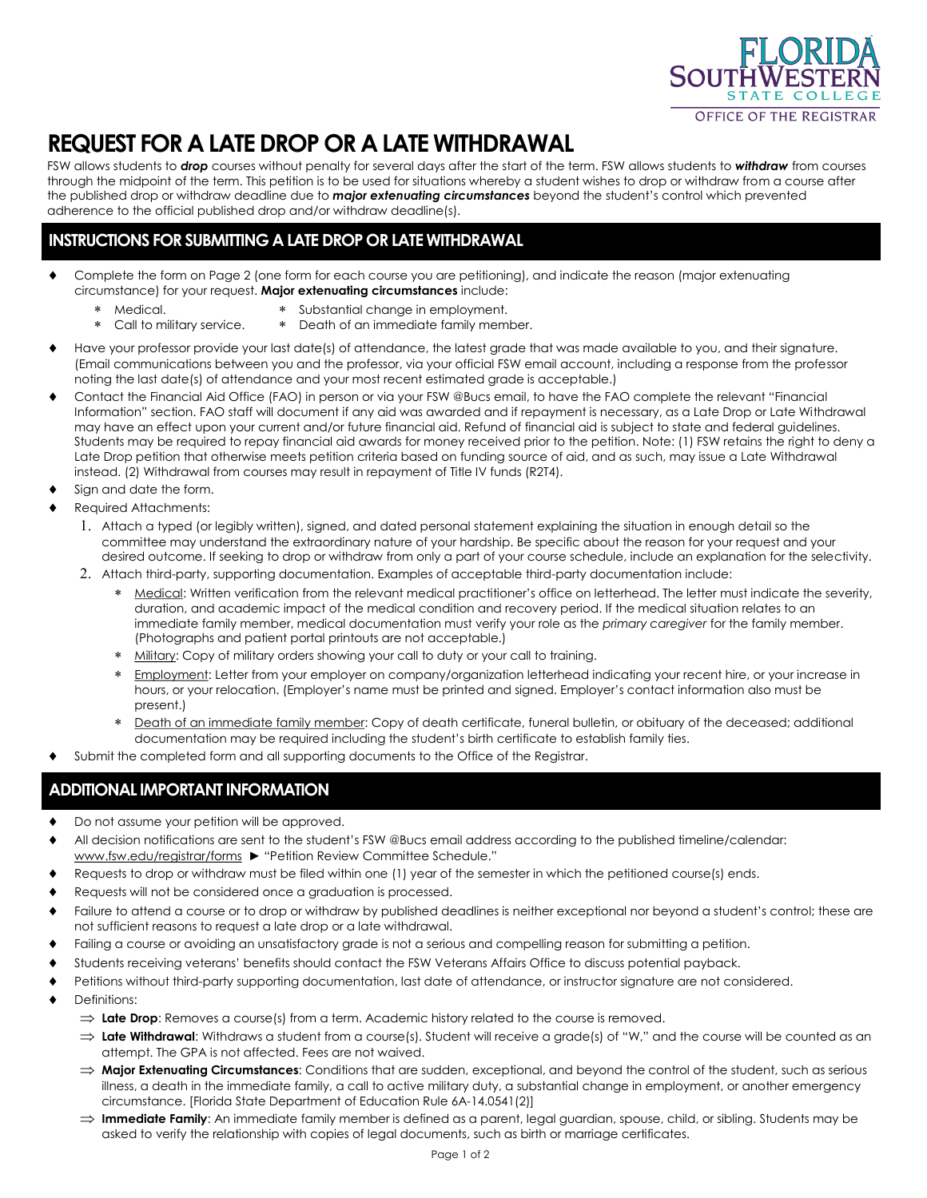

## **REQUEST FOR A LATE DROP OR A LATE WITHDRAWAL**

FSW allows students to *drop* courses without penalty for several days after the start of the term. FSW allows students to *withdraw* from courses through the midpoint of the term. This petition is to be used for situations whereby a student wishes to drop or withdraw from a course after the published drop or withdraw deadline due to *major extenuating circumstances* beyond the student's control which prevented adherence to the official published drop and/or withdraw deadline(s).

## **INSTRUCTIONS FOR SUBMITTING A LATE DROP OR LATE WITHDRAWAL**

- Complete the form on Page 2 (one form for each course you are petitioning), and indicate the reason (major extenuating circumstance) for your request. **Major extenuating circumstances** include:
	- Medical.
		- Substantial change in employment.
	- Death of an immediate family member. Call to military service.
- Have your professor provide your last date(s) of attendance, the latest grade that was made available to you, and their signature. (Email communications between you and the professor, via your official FSW email account, including a response from the professor noting the last date(s) of attendance and your most recent estimated grade is acceptable.)
- Contact the Financial Aid Office (FAO) in person or via your FSW @Bucs email, to have the FAO complete the relevant "Financial Information" section. FAO staff will document if any aid was awarded and if repayment is necessary, as a Late Drop or Late Withdrawal may have an effect upon your current and/or future financial aid. Refund of financial aid is subject to state and federal guidelines. Students may be required to repay financial aid awards for money received prior to the petition. Note: (1) FSW retains the right to deny a Late Drop petition that otherwise meets petition criteria based on funding source of aid, and as such, may issue a Late Withdrawal instead. (2) Withdrawal from courses may result in repayment of Title IV funds (R2T4).
- Sign and date the form.
- Required Attachments:
	- Attach a typed (or legibly written), signed, and dated personal statement explaining the situation in enough detail so the committee may understand the extraordinary nature of your hardship. Be specific about the reason for your request and your desired outcome. If seeking to drop or withdraw from only a part of your course schedule, include an explanation for the selectivity.
	- Attach third-party, supporting documentation. Examples of acceptable third-party documentation include:
		- \* Medical: Written verification from the relevant medical practitioner's office on letterhead. The letter must indicate the severity, duration, and academic impact of the medical condition and recovery period. If the medical situation relates to an immediate family member, medical documentation must verify your role as the *primary caregiver* for the family member. (Photographs and patient portal printouts are not acceptable.)
		- Military: Copy of military orders showing your call to duty or your call to training.
		- \* Employment: Letter from your employer on company/organization letterhead indicating your recent hire, or your increase in hours, or your relocation. (Employer's name must be printed and signed. Employer's contact information also must be present.)
		- \* Death of an immediate family member: Copy of death certificate, funeral bulletin, or obituary of the deceased; additional documentation may be required including the student's birth certificate to establish family ties.
- Submit the completed form and all supporting documents to the Office of the Registrar.

## **ADDITIONAL IMPORTANT INFORMATION**

- ◆ Do not assume your petition will be approved.
- All decision notifications are sent to the student's FSW @Bucs email address according to the published timeline/calendar: www.fsw.edu/registrar/forms ► "Petition Review Committee Schedule."
- Requests to drop or withdraw must be filed within one (1) year of the semester in which the petitioned course(s) ends.
- Requests will not be considered once a graduation is processed.
- Failure to attend a course or to drop or withdraw by published deadlines is neither exceptional nor beyond a student's control; these are not sufficient reasons to request a late drop or a late withdrawal.
- Failing a course or avoiding an unsatisfactory grade is not a serious and compelling reason for submitting a petition.
- Students receiving veterans' benefits should contact the FSW Veterans Affairs Office to discuss potential payback.
- Petitions without third-party supporting documentation, last date of attendance, or instructor signature are not considered.
- Definitions:
	- $\Rightarrow$  Late Drop: Removes a course(s) from a term. Academic history related to the course is removed.
	- $\Rightarrow$  Late Withdrawal: Withdraws a student from a course(s). Student will receive a grade(s) of "W," and the course will be counted as an attempt. The GPA is not affected. Fees are not waived.
	- → **Major Extenuating Circumstances**: Conditions that are sudden, exceptional, and beyond the control of the student, such as serious illness, a death in the immediate family, a call to active military duty, a substantial change in employment, or another emergency circumstance. [Florida State Department of Education Rule 6A-14.0541(2)]
	- $\Rightarrow$  **Immediate Family**: An immediate family member is defined as a parent, legal guardian, spouse, child, or sibling, Students may be asked to verify the relationship with copies of legal documents, such as birth or marriage certificates.